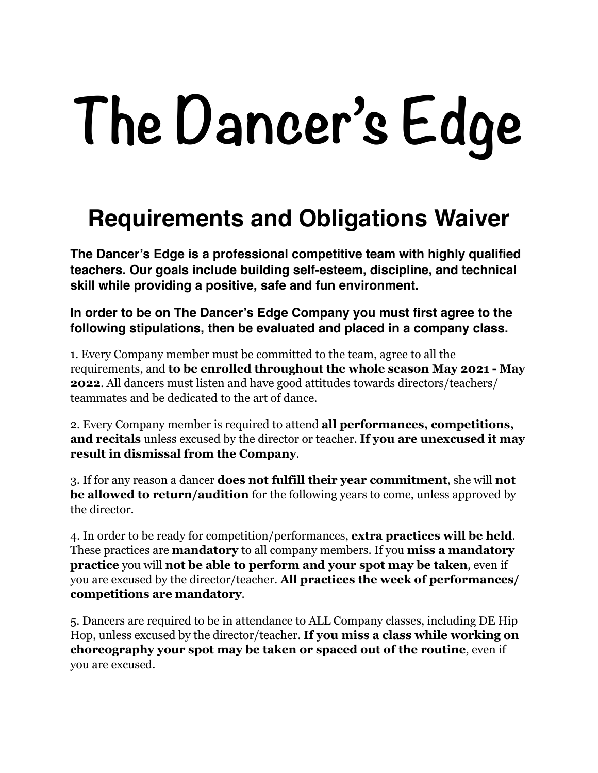## **The Dancer's Edge**

## **Requirements and Obligations Waiver**

**The Dancer's Edge is a professional competitive team with highly qualified teachers. Our goals include building self-esteem, discipline, and technical skill while providing a positive, safe and fun environment.** 

**In order to be on The Dancer's Edge Company you must first agree to the following stipulations, then be evaluated and placed in a company class.** 

1. Every Company member must be committed to the team, agree to all the requirements, and **to be enrolled throughout the whole season May 2021 - May 2022**. All dancers must listen and have good attitudes towards directors/teachers/ teammates and be dedicated to the art of dance.

2. Every Company member is required to attend **all performances, competitions, and recitals** unless excused by the director or teacher. **If you are unexcused it may result in dismissal from the Company**.

3. If for any reason a dancer **does not fulfill their year commitment**, she will **not be allowed to return/audition** for the following years to come, unless approved by the director.

4. In order to be ready for competition/performances, **extra practices will be held**. These practices are **mandatory** to all company members. If you **miss a mandatory practice** you will **not be able to perform and your spot may be taken**, even if you are excused by the director/teacher. **All practices the week of performances/ competitions are mandatory**.

5. Dancers are required to be in attendance to ALL Company classes, including DE Hip Hop, unless excused by the director/teacher. **If you miss a class while working on choreography your spot may be taken or spaced out of the routine**, even if you are excused.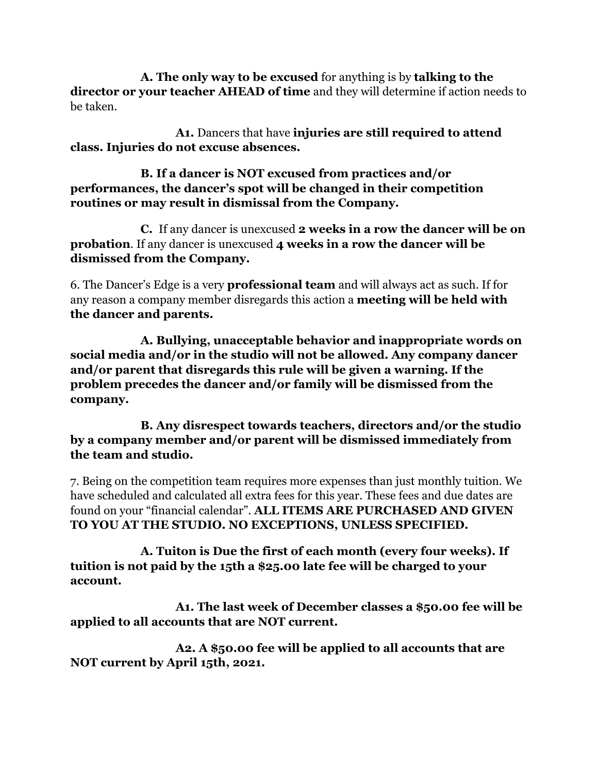**A. The only way to be excused** for anything is by **talking to the director or your teacher AHEAD of time** and they will determine if action needs to be taken.

 **A1.** Dancers that have **injuries are still required to attend class. Injuries do not excuse absences.** 

 **B. If a dancer is NOT excused from practices and/or performances, the dancer's spot will be changed in their competition routines or may result in dismissal from the Company.** 

 **C.** If any dancer is unexcused **2 weeks in a row the dancer will be on probation**. If any dancer is unexcused **4 weeks in a row the dancer will be dismissed from the Company.**

6. The Dancer's Edge is a very **professional team** and will always act as such. If for any reason a company member disregards this action a **meeting will be held with the dancer and parents.** 

 **A. Bullying, unacceptable behavior and inappropriate words on social media and/or in the studio will not be allowed. Any company dancer and/or parent that disregards this rule will be given a warning. If the problem precedes the dancer and/or family will be dismissed from the company.** 

 **B. Any disrespect towards teachers, directors and/or the studio by a company member and/or parent will be dismissed immediately from the team and studio.** 

7. Being on the competition team requires more expenses than just monthly tuition. We have scheduled and calculated all extra fees for this year. These fees and due dates are found on your "financial calendar". **ALL ITEMS ARE PURCHASED AND GIVEN TO YOU AT THE STUDIO. NO EXCEPTIONS, UNLESS SPECIFIED.** 

 **A. Tuiton is Due the first of each month (every four weeks). If tuition is not paid by the 15th a \$25.00 late fee will be charged to your account.** 

 **A1. The last week of December classes a \$50.00 fee will be applied to all accounts that are NOT current.** 

 **A2. A \$50.00 fee will be applied to all accounts that are NOT current by April 15th, 2021.**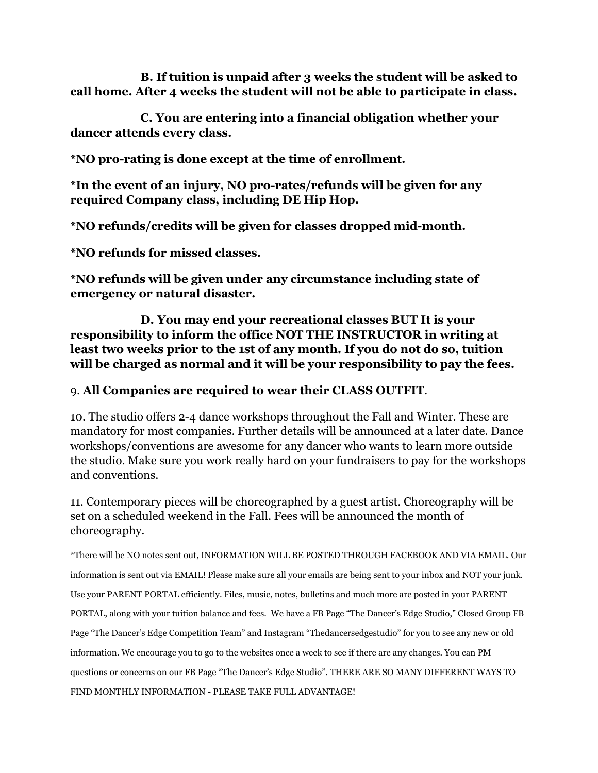**B. If tuition is unpaid after 3 weeks the student will be asked to call home. After 4 weeks the student will not be able to participate in class.** 

 **C. You are entering into a financial obligation whether your dancer attends every class.** 

**\*NO pro-rating is done except at the time of enrollment.** 

**\*In the event of an injury, NO pro-rates/refunds will be given for any required Company class, including DE Hip Hop.** 

**\*NO refunds/credits will be given for classes dropped mid-month.**

**\*NO refunds for missed classes.**

**\*NO refunds will be given under any circumstance including state of emergency or natural disaster.**

 **D. You may end your recreational classes BUT It is your responsibility to inform the office NOT THE INSTRUCTOR in writing at least two weeks prior to the 1st of any month. If you do not do so, tuition will be charged as normal and it will be your responsibility to pay the fees.** 

## 9. **All Companies are required to wear their CLASS OUTFIT**.

10. The studio offers 2-4 dance workshops throughout the Fall and Winter. These are mandatory for most companies. Further details will be announced at a later date. Dance workshops/conventions are awesome for any dancer who wants to learn more outside the studio. Make sure you work really hard on your fundraisers to pay for the workshops and conventions.

11. Contemporary pieces will be choreographed by a guest artist. Choreography will be set on a scheduled weekend in the Fall. Fees will be announced the month of choreography.

\*There will be NO notes sent out, INFORMATION WILL BE POSTED THROUGH FACEBOOK AND VIA EMAIL. Our information is sent out via EMAIL! Please make sure all your emails are being sent to your inbox and NOT your junk. Use your PARENT PORTAL efficiently. Files, music, notes, bulletins and much more are posted in your PARENT PORTAL, along with your tuition balance and fees. We have a FB Page "The Dancer's Edge Studio," Closed Group FB Page "The Dancer's Edge Competition Team" and Instagram "Thedancersedgestudio" for you to see any new or old information. We encourage you to go to the websites once a week to see if there are any changes. You can PM questions or concerns on our FB Page "The Dancer's Edge Studio". THERE ARE SO MANY DIFFERENT WAYS TO FIND MONTHLY INFORMATION - PLEASE TAKE FULL ADVANTAGE!